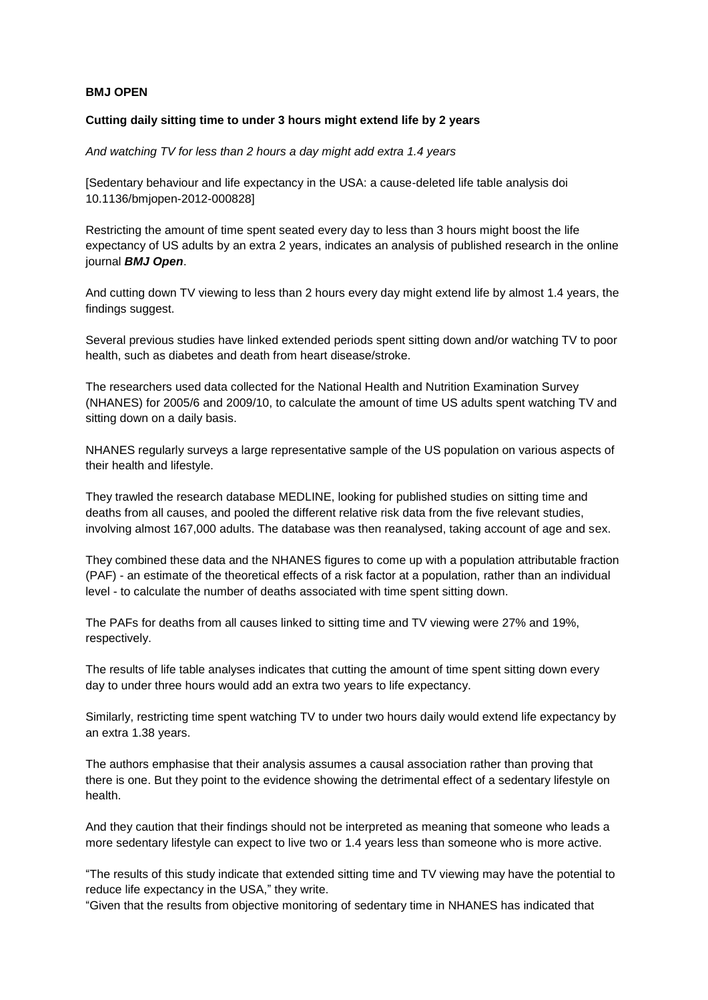## **BMJ OPEN**

## **Cutting daily sitting time to under 3 hours might extend life by 2 years**

*And watching TV for less than 2 hours a day might add extra 1.4 years* 

[Sedentary behaviour and life expectancy in the USA: a cause-deleted life table analysis doi 10.1136/bmjopen-2012-000828]

Restricting the amount of time spent seated every day to less than 3 hours might boost the life expectancy of US adults by an extra 2 years, indicates an analysis of published research in the online journal *BMJ Open*.

And cutting down TV viewing to less than 2 hours every day might extend life by almost 1.4 years, the findings suggest.

Several previous studies have linked extended periods spent sitting down and/or watching TV to poor health, such as diabetes and death from heart disease/stroke.

The researchers used data collected for the National Health and Nutrition Examination Survey (NHANES) for 2005/6 and 2009/10, to calculate the amount of time US adults spent watching TV and sitting down on a daily basis.

NHANES regularly surveys a large representative sample of the US population on various aspects of their health and lifestyle.

They trawled the research database MEDLINE, looking for published studies on sitting time and deaths from all causes, and pooled the different relative risk data from the five relevant studies, involving almost 167,000 adults. The database was then reanalysed, taking account of age and sex.

They combined these data and the NHANES figures to come up with a population attributable fraction (PAF) - an estimate of the theoretical effects of a risk factor at a population, rather than an individual level - to calculate the number of deaths associated with time spent sitting down.

The PAFs for deaths from all causes linked to sitting time and TV viewing were 27% and 19%, respectively.

The results of life table analyses indicates that cutting the amount of time spent sitting down every day to under three hours would add an extra two years to life expectancy.

Similarly, restricting time spent watching TV to under two hours daily would extend life expectancy by an extra 1.38 years.

The authors emphasise that their analysis assumes a causal association rather than proving that there is one. But they point to the evidence showing the detrimental effect of a sedentary lifestyle on health.

And they caution that their findings should not be interpreted as meaning that someone who leads a more sedentary lifestyle can expect to live two or 1.4 years less than someone who is more active.

"The results of this study indicate that extended sitting time and TV viewing may have the potential to reduce life expectancy in the USA," they write.

"Given that the results from objective monitoring of sedentary time in NHANES has indicated that